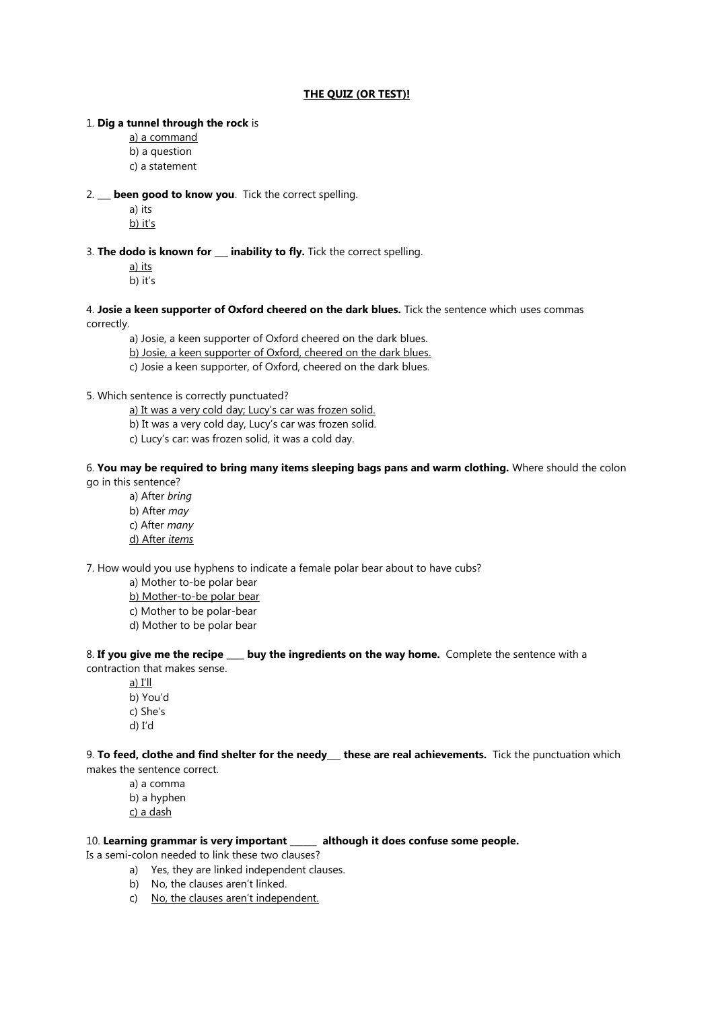### **THE QUIZ (OR TEST)!**

#### 1. **Dig a tunnel through the rock** is

a) a command

b) a question

c) a statement

# 2. **\_\_\_ been good to know you**. Tick the correct spelling.

a) its b) it's

3. **The dodo is known for \_\_\_ inability to fly.** Tick the correct spelling.

a) its b) it's

4. **Josie a keen supporter of Oxford cheered on the dark blues.** Tick the sentence which uses commas correctly.

a) Josie, a keen supporter of Oxford cheered on the dark blues.

b) Josie, a keen supporter of Oxford, cheered on the dark blues.

c) Josie a keen supporter, of Oxford, cheered on the dark blues.

## 5. Which sentence is correctly punctuated?

a) It was a very cold day; Lucy's car was frozen solid.

b) It was a very cold day, Lucy's car was frozen solid.

c) Lucy's car: was frozen solid, it was a cold day.

## 6. **You may be required to bring many items sleeping bags pans and warm clothing.** Where should the colon go in this sentence?

a) After *bring*

- b) After *may*
- c) After *many*
- d) After *items*

7. How would you use hyphens to indicate a female polar bear about to have cubs?

a) Mother to-be polar bear

b) Mother-to-be polar bear

- c) Mother to be polar-bear
- d) Mother to be polar bear

8. **If you give me the recipe \_\_\_\_ buy the ingredients on the way home.** Complete the sentence with a contraction that makes sense.

a) I'll

- b) You'd
- c) She's
- d) I'd

9. **To feed, clothe and find shelter for the needy\_\_\_ these are real achievements.** Tick the punctuation which makes the sentence correct.

a) a comma b) a hyphen c) a dash

# 10. **Learning grammar is very important \_\_\_\_\_\_ although it does confuse some people.**

Is a semi-colon needed to link these two clauses?

- a) Yes, they are linked independent clauses.
- b) No, the clauses aren't linked.
- c) No, the clauses aren't independent.